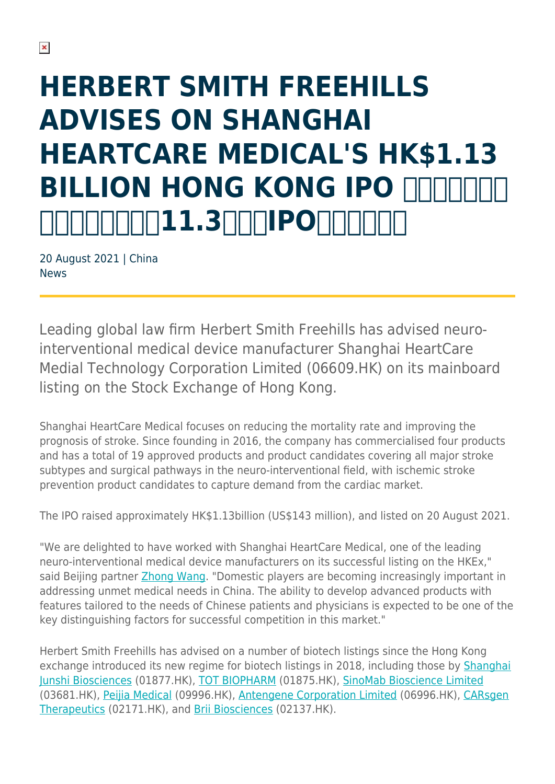# **HERBERT SMITH FREEHILLS ADVISES ON SHANGHAI HEARTCARE MEDICAL'S HK\$1.13 BILLION HONG KONG IPO HIT THE 11.300 POHT**

20 August 2021 | China News

Leading global law firm Herbert Smith Freehills has advised neurointerventional medical device manufacturer Shanghai HeartCare Medial Technology Corporation Limited (06609.HK) on its mainboard listing on the Stock Exchange of Hong Kong.

Shanghai HeartCare Medical focuses on reducing the mortality rate and improving the prognosis of stroke. Since founding in 2016, the company has commercialised four products and has a total of 19 approved products and product candidates covering all major stroke subtypes and surgical pathways in the neuro-interventional field, with ischemic stroke prevention product candidates to capture demand from the cardiac market.

The IPO raised approximately HK\$1.13billion (US\$143 million), and listed on 20 August 2021.

"We are delighted to have worked with Shanghai HeartCare Medical, one of the leading neuro-interventional medical device manufacturers on its successful listing on the HKEx," said Beijing partner [Zhong Wang.](https://www.herbertsmithfreehills.com/our-people/zhong-wang) "Domestic players are becoming increasingly important in addressing unmet medical needs in China. The ability to develop advanced products with features tailored to the needs of Chinese patients and physicians is expected to be one of the key distinguishing factors for successful competition in this market."

Herbert Smith Freehills has advised on a number of biotech listings since the Hong Kong exchange introduced its new regime for biotech listings in 2018, including those by [Shanghai](https://www.herbertsmithfreehills.com/news/herbert-smith-freehills-advises-first-h-share-issuer-to-list-under-hong-kong-stock-exchanges-0) [Junshi Biosciences](https://www.herbertsmithfreehills.com/news/herbert-smith-freehills-advises-first-h-share-issuer-to-list-under-hong-kong-stock-exchanges-0) (01877.HK), [TOT BIOPHARM](https://www.herbertsmithfreehills.com/news/herbert-smith-freehills-advises-on-tot-biopharms-hong-kong-listing) (01875.HK), [SinoMab Bioscience Limited](https://www.herbertsmithfreehills.com/news/herbert-smith-freehills-advises-on-second-hong-kong-pharma-ipo-in-less-than-one-week) (03681.HK), [Peijia Medical](https://www.herbertsmithfreehills.com/news/herbert-smith-freehills-advises-sponsors-on-peijia-medical%E2%80%99s-hk234-billion-hong-kong-ipo) (09996.HK), [Antengene Corporation Limited](https://www.herbertsmithfreehills.com/news/herbert-smith-freehills-advises-sponsors-on-antengene%E2%80%99s-hk26-billion-hong-kong-ipo) (06996.HK), [CARsgen](https://www.herbertsmithfreehills.com/news/herbert-smith-freehills-advises-sponsors-on-carsgen-therapeutics%E2%80%99-hk31-billion-hong-kong-ipo) [Therapeutics](https://www.herbertsmithfreehills.com/news/herbert-smith-freehills-advises-sponsors-on-carsgen-therapeutics%E2%80%99-hk31-billion-hong-kong-ipo) (02171.HK), and [Brii Biosciences](https://www.herbertsmithfreehills.com/news/herbert-smith-freehills-advises-sponsors-on-brii-biosciences%E2%80%99-hk2483-billion-hong-kong-ipo) (02137.HK).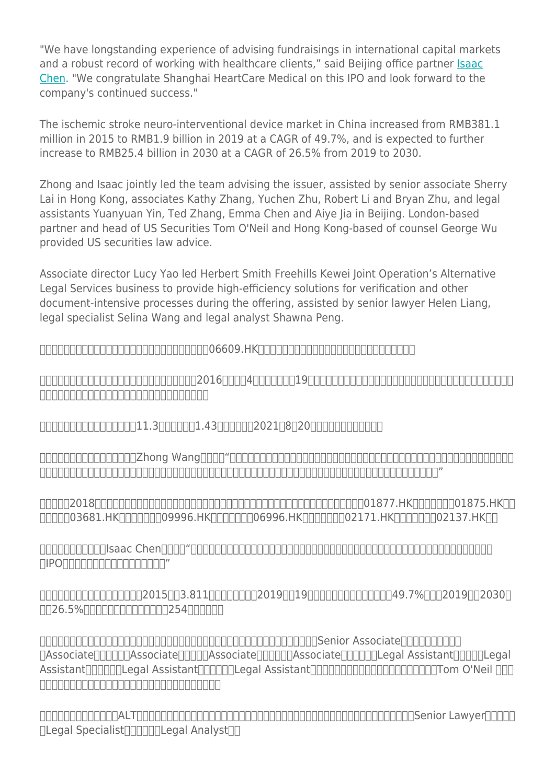"We have longstanding experience of advising fundraisings in international capital markets and a robust record of working with healthcare clients," said Beijing office partner [Isaac](https://www.herbertsmithfreehills.com/our-people/isaac-chen) [Chen](https://www.herbertsmithfreehills.com/our-people/isaac-chen). "We congratulate Shanghai HeartCare Medical on this IPO and look forward to the company's continued success."

The ischemic stroke neuro-interventional device market in China increased from RMB381.1 million in 2015 to RMB1.9 billion in 2019 at a CAGR of 49.7%, and is expected to further increase to RMB25.4 billion in 2030 at a CAGR of 26.5% from 2019 to 2030.

Zhong and Isaac jointly led the team advising the issuer, assisted by senior associate Sherry Lai in Hong Kong, associates Kathy Zhang, Yuchen Zhu, Robert Li and Bryan Zhu, and legal assistants Yuanyuan Yin, Ted Zhang, Emma Chen and Aiye Jia in Beijing. London-based partner and head of US Securities Tom O'Neil and Hong Kong-based of counsel George Wu provided US securities law advice.

Associate director Lucy Yao led Herbert Smith Freehills Kewei Joint Operation's Alternative Legal Services business to provide high-efficiency solutions for verification and other document-intensive processes during the offering, assisted by senior lawyer Helen Liang, legal specialist Selina Wang and legal analyst Shawna Peng.

全球领先的律师事务所史密夫斐尔作为神经介入医疗器械公司(06609.HK)的境外律师,为其在香港联交所主板上市提供法律服务。

心玮医疗致力于降低脑卒中死亡率并改善预后。公司成立于2016年,拥有4款商业化产品和19款在研产品,覆盖了神经介入领域的所有主要脑卒中亚型及手术路径,并且公  $\Box$ 

心玮医疗在首次公开募股中融资超过11.3亿港元(约合1.43亿美元),于2021年8月20日开始在香港联交所交易。

史密夫斐尔北京办公室合伙人王重(Zhong Wang)表示:"心玮医疗是领先的神经介入医疗器械公司,我们非常荣幸为心玮医疗在港交所上市提供助力。在满足国内医  $\cap$ הם החרות החרות החרות החרות החרות החרות החרות החרות המודינית המודינית המודינית המודינית החרות החרות החרות ה

 $\Box$ הרא $\Box$ 2018 בחרות 2018 החרות המצוין בתחת החרות החרות החרות החרות החרות החרות החרות החרות 2018 החרות ה hnnn03681.HKnnnnnn09996.HKnnnnnn06996.HKnnnnnn02171.HKnnnnnn02137.HKnn

北京办公室合伙人陈敏(Isaac Chen)表示:"史密夫斐尔长期助力客户在国际资本市场融资,在为医疗行业客户提供法律服务方面经验丰富。衷心向心玮医疗此  $\Box$ IPO $\Box \Box \Box \Box \Box \Box \Box \Box \Box \Box \Box \Box \Box \Box$ "

中国缺血性卒中神经介入医疗器械场从2015年的3.811亿元人民币增长到2019年的19亿元人民币,复合年均增长率为49.7%,预计2019年至2030年  $\Pi$ 26.5% $\Pi$ חחחחחחח $\Pi$ ברום 254 $\Pi$ ום 254.

合伙人王重和陈敏率领律师团队为此次上市发行人提供法律服务。主要团队成员包括香港办公室黎翠芬(Senior Associate)、北京办公室张凯西 TAssociate<sup></sup>TTTTTTAssociate<sup>T</sup>TTTTAssociate<sup>T</sup>TTTTTAssociate<sup>T</sup>TTTTTLegal AssistantTTTTTLegal Assistant)、陈阿婷(Legal Assistant)和贾瑷烨(Legal Assistant)。伦敦办公室合伙人、美国证券法主管合伙人Tom O'Neil 以及香 港办公室资深顾问吴卓人就该笔交易的美国证券方面事宜提供咨询。

联营办公室替代性法律服务(ALT)联合团队在发行期间为招股书验证及其他文件密集型工作提供高效率的解决方案,主要成员包括梁琳(Senior Lawyer)、王思颖 Negal Specialist<sub>nnnnn</sub>nnnegal Analystnn